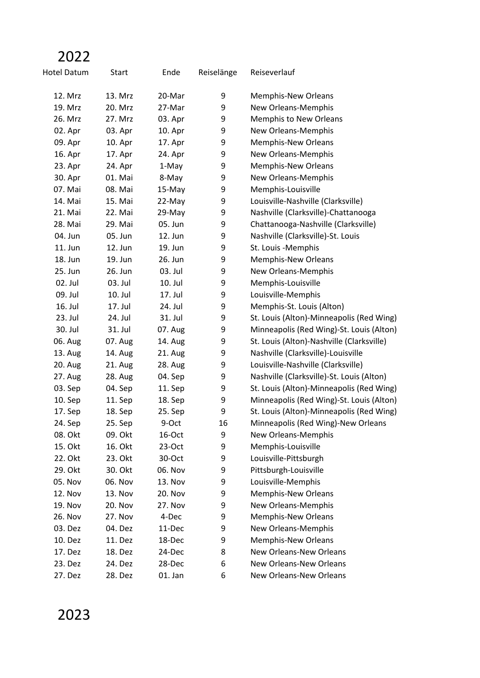## 2022

| Hotel Datum    | Start          | Ende           | Reiselänge | Reiseverlauf                              |
|----------------|----------------|----------------|------------|-------------------------------------------|
| 12. Mrz        | 13. Mrz        | 20-Mar         | 9          | <b>Memphis-New Orleans</b>                |
| 19. Mrz        | 20. Mrz        | 27-Mar         | 9          | New Orleans-Memphis                       |
| 26. Mrz        | 27. Mrz        | 03. Apr        | 9          | Memphis to New Orleans                    |
| 02. Apr        | 03. Apr        | 10. Apr        | 9          | New Orleans-Memphis                       |
| 09. Apr        | 10. Apr        | 17. Apr        | 9          | Memphis-New Orleans                       |
| 16. Apr        | 17. Apr        | 24. Apr        | 9          | New Orleans-Memphis                       |
| 23. Apr        | 24. Apr        | 1-May          | 9          | Memphis-New Orleans                       |
| 30. Apr        | 01. Mai        | 8-May          | 9          | New Orleans-Memphis                       |
| 07. Mai        | 08. Mai        | 15-May         | 9          | Memphis-Louisville                        |
| 14. Mai        | 15. Mai        | 22-May         | 9          | Louisville-Nashville (Clarksville)        |
| 21. Mai        | 22. Mai        | 29-May         | 9          | Nashville (Clarksville)-Chattanooga       |
| 28. Mai        | 29. Mai        | 05. Jun        | 9          | Chattanooga-Nashville (Clarksville)       |
| 04. Jun        | 05. Jun        | 12. Jun        | 9          | Nashville (Clarksville)-St. Louis         |
| 11. Jun        | 12. Jun        | 19. Jun        | 9          | St. Louis -Memphis                        |
| 18. Jun        | 19. Jun        | 26. Jun        | 9          | <b>Memphis-New Orleans</b>                |
| 25. Jun        | 26. Jun        | 03. Jul        | 9          | New Orleans-Memphis                       |
| 02. Jul        | 03. Jul        | 10. Jul        | 9          | Memphis-Louisville                        |
| 09. Jul        | 10. Jul        | 17. Jul        | 9          | Louisville-Memphis                        |
| 16. Jul        | 17. Jul        | 24. Jul        | 9          | Memphis-St. Louis (Alton)                 |
| 23. Jul        | 24. Jul        | 31. Jul        | 9          | St. Louis (Alton)-Minneapolis (Red Wing)  |
| 30. Jul        | 31. Jul        | 07. Aug        | 9          | Minneapolis (Red Wing)-St. Louis (Alton)  |
| 06. Aug        | 07. Aug        | 14. Aug        | 9          | St. Louis (Alton)-Nashville (Clarksville) |
| 13. Aug        | <b>14. Aug</b> | 21. Aug        | 9          | Nashville (Clarksville)-Louisville        |
| 20. Aug        | 21. Aug        | 28. Aug        | 9          | Louisville-Nashville (Clarksville)        |
| 27. Aug        | 28. Aug        | 04. Sep        | 9          | Nashville (Clarksville)-St. Louis (Alton) |
| 03. Sep        | 04. Sep        | 11. Sep        | 9          | St. Louis (Alton)-Minneapolis (Red Wing)  |
| 10. Sep        | 11. Sep        | 18. Sep        | 9          | Minneapolis (Red Wing)-St. Louis (Alton)  |
| 17. Sep        | 18. Sep        | 25. Sep        | 9          | St. Louis (Alton)-Minneapolis (Red Wing)  |
| 24. Sep        | 25. Sep        | 9-Oct          | 16         | Minneapolis (Red Wing)-New Orleans        |
| 08. Okt        | 09. Okt        | 16-Oct         | 9          | New Orleans-Memphis                       |
| 15. Okt        | 16. Okt        | $23-Oct$       | 9          | Memphis-Louisville                        |
| 22. Okt        | 23. Okt        | 30-Oct         | 9          | Louisville-Pittsburgh                     |
| 29. Okt        | 30. Okt        | 06. Nov        | 9          | Pittsburgh-Louisville                     |
| 05. Nov        | 06. Nov        | 13. Nov        | 9          | Louisville-Memphis                        |
| <b>12. Nov</b> | <b>13. Nov</b> | 20. Nov        | 9          | Memphis-New Orleans                       |
| 19. Nov        | <b>20. Nov</b> | <b>27. Nov</b> | 9          | New Orleans-Memphis                       |
| 26. Nov        | 27. Nov        | 4-Dec          | 9          | Memphis-New Orleans                       |
| 03. Dez        | 04. Dez        | 11-Dec         | 9          | New Orleans-Memphis                       |
| 10. Dez        | 11. Dez        | 18-Dec         | 9          | Memphis-New Orleans                       |
| 17. Dez        | 18. Dez        | 24-Dec         | 8          | New Orleans-New Orleans                   |
| 23. Dez        | 24. Dez        | 28-Dec         | 6          | New Orleans-New Orleans                   |

27. Dez 28. Dez 01. Jan 6 New Orleans-New Orleans